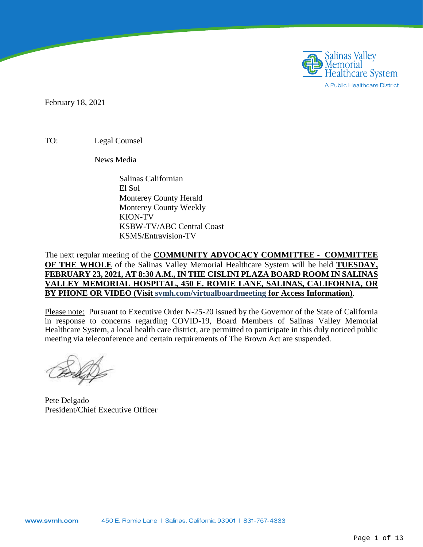

February 18, 2021

TO: Legal Counsel

News Media

Salinas Californian El Sol Monterey County Herald Monterey County Weekly KION-TV KSBW-TV/ABC Central Coast KSMS/Entravision-TV

The next regular meeting of the **COMMUNITY ADVOCACY COMMITTEE - COMMITTEE OF THE WHOLE** of the Salinas Valley Memorial Healthcare System will be held **TUESDAY, FEBRUARY 23, 2021, AT 8:30 A.M., IN THE CISLINI PLAZA BOARD ROOM IN SALINAS VALLEY MEMORIAL HOSPITAL, 450 E. ROMIE LANE, SALINAS, CALIFORNIA, OR BY PHONE OR VIDEO (Visit svmh.com/virtualboardmeeting for Access Information)**.

Please note: Pursuant to Executive Order N-25-20 issued by the Governor of the State of California in response to concerns regarding COVID-19, Board Members of Salinas Valley Memorial Healthcare System, a local health care district, are permitted to participate in this duly noticed public meeting via teleconference and certain requirements of The Brown Act are suspended.

Pete Delgado President/Chief Executive Officer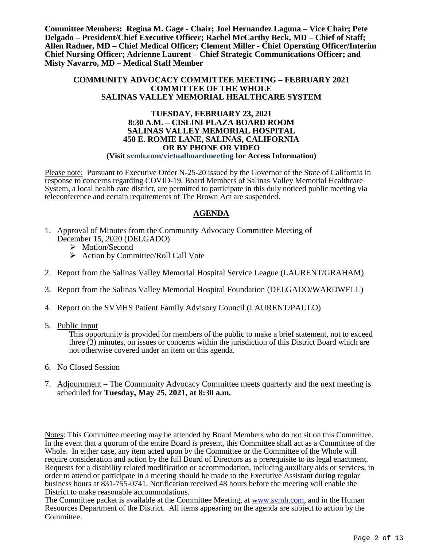**Committee Members: Regina M. Gage - Chair; Joel Hernandez Laguna – Vice Chair; Pete Delgado – President/Chief Executive Officer; Rachel McCarthy Beck, MD – Chief of Staff; Allen Radner, MD – Chief Medical Officer; Clement Miller - Chief Operating Officer/Interim Chief Nursing Officer; Adrienne Laurent – Chief Strategic Communications Officer; and Misty Navarro, MD – Medical Staff Member**

#### **COMMUNITY ADVOCACY COMMITTEE MEETING – FEBRUARY 2021 COMMITTEE OF THE WHOLE SALINAS VALLEY MEMORIAL HEALTHCARE SYSTEM**

#### **TUESDAY, FEBRUARY 23, 2021 8:30 A.M. – CISLINI PLAZA BOARD ROOM SALINAS VALLEY MEMORIAL HOSPITAL 450 E. ROMIE LANE, SALINAS, CALIFORNIA OR BY PHONE OR VIDEO (Visit svmh.com/virtualboardmeeting for Access Information)**

Please note: Pursuant to Executive Order N-25-20 issued by the Governor of the State of California in response to concerns regarding COVID-19, Board Members of Salinas Valley Memorial Healthcare System, a local health care district, are permitted to participate in this duly noticed public meeting via teleconference and certain requirements of The Brown Act are suspended.

#### **AGENDA**

- 1. Approval of Minutes from the Community Advocacy Committee Meeting of December 15, 2020 (DELGADO)
	- > Motion/Second
	- $\triangleright$  Action by Committee/Roll Call Vote
- 2. Report from the Salinas Valley Memorial Hospital Service League (LAURENT/GRAHAM)
- 3. Report from the Salinas Valley Memorial Hospital Foundation (DELGADO/WARDWELL)
- 4. Report on the SVMHS Patient Family Advisory Council (LAURENT/PAULO)
- 5. Public Input

This opportunity is provided for members of the public to make a brief statement, not to exceed three (3) minutes, on issues or concerns within the jurisdiction of this District Board which are not otherwise covered under an item on this agenda.

- 6. No Closed Session
- 7. Adjournment The Community Advocacy Committee meets quarterly and the next meeting is scheduled for **Tuesday, May 25, 2021, at 8:30 a.m.**

Notes: This Committee meeting may be attended by Board Members who do not sit on this Committee. In the event that a quorum of the entire Board is present, this Committee shall act as a Committee of the Whole. In either case, any item acted upon by the Committee or the Committee of the Whole will require consideration and action by the full Board of Directors as a prerequisite to its legal enactment. Requests for a disability related modification or accommodation, including auxiliary aids or services, in order to attend or participate in a meeting should be made to the Executive Assistant during regular business hours at 831-755-0741. Notification received 48 hours before the meeting will enable the District to make reasonable accommodations.

The Committee packet is available at the Committee Meeting, at [www.svmh.com,](http://www.svmh.com/) and in the Human Resources Department of the District. All items appearing on the agenda are subject to action by the Committee.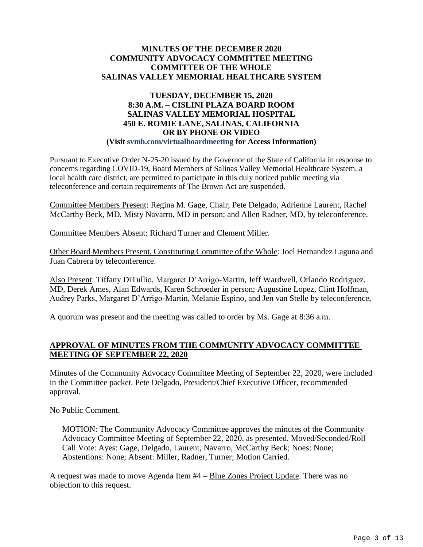#### **MINUTES OF THE DECEMBER 2020 COMMUNITY ADVOCACY COMMITTEE MEETING COMMITTEE OF THE WHOLE SALINAS VALLEY MEMORIAL HEALTHCARE SYSTEM**

#### **TUESDAY, DECEMBER 15, 2020 8:30 A.M. – CISLINI PLAZA BOARD ROOM SALINAS VALLEY MEMORIAL HOSPITAL 450 E. ROMIE LANE, SALINAS, CALIFORNIA OR BY PHONE OR VIDEO (Visit svmh.com/virtualboardmeeting for Access Information)**

Pursuant to Executive Order N-25-20 issued by the Governor of the State of California in response to concerns regarding COVID-19, Board Members of Salinas Valley Memorial Healthcare System, a local health care district, are permitted to participate in this duly noticed public meeting via teleconference and certain requirements of The Brown Act are suspended.

Committee Members Present: Regina M. Gage, Chair; Pete Delgado, Adrienne Laurent, Rachel McCarthy Beck, MD, Misty Navarro, MD in person; and Allen Radner, MD, by teleconference.

Committee Members Absent: Richard Turner and Clement Miller.

Other Board Members Present, Constituting Committee of the Whole: Joel Hernandez Laguna and Juan Cabrera by teleconference.

Also Present: Tiffany DiTullio, Margaret D'Arrigo-Martin, Jeff Wardwell, Orlando Rodriguez, MD, Derek Ames, Alan Edwards, Karen Schroeder in person; Augustine Lopez, Clint Hoffman, Audrey Parks, Margaret D'Arrigo-Martin, Melanie Espino, and Jen van Stelle by teleconference,

A quorum was present and the meeting was called to order by Ms. Gage at 8:36 a.m.

#### **APPROVAL OF MINUTES FROM THE COMMUNITY ADVOCACY COMMITTEE MEETING OF SEPTEMBER 22, 2020**

Minutes of the Community Advocacy Committee Meeting of September 22, 2020, were included in the Committee packet. Pete Delgado, President/Chief Executive Officer, recommended approval.

No Public Comment.

MOTION: The Community Advocacy Committee approves the minutes of the Community Advocacy Committee Meeting of September 22, 2020, as presented. Moved/Seconded/Roll Call Vote: Ayes: Gage, Delgado, Laurent, Navarro, McCarthy Beck; Noes: None; Abstentions: None; Absent: Miller, Radner, Turner; Motion Carried.

A request was made to move Agenda Item #4 – Blue Zones Project Update. There was no objection to this request.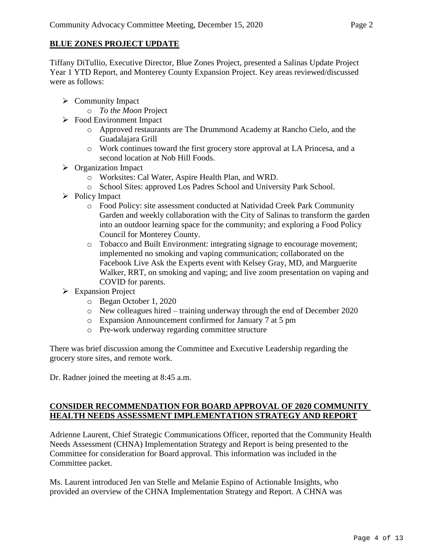#### **BLUE ZONES PROJECT UPDATE**

Tiffany DiTullio, Executive Director, Blue Zones Project, presented a Salinas Update Project Year 1 YTD Report, and Monterey County Expansion Project. Key areas reviewed/discussed were as follows:

- $\triangleright$  Community Impact
	- o *To the Moon* Project
- Food Environment Impact
	- o Approved restaurants are The Drummond Academy at Rancho Cielo, and the Guadalajara Grill
	- o Work continues toward the first grocery store approval at LA Princesa, and a second location at Nob Hill Foods.
- $\triangleright$  Organization Impact
	- o Worksites: Cal Water, Aspire Health Plan, and WRD.
	- o School Sites: approved Los Padres School and University Park School.
- $\triangleright$  Policy Impact
	- o Food Policy: site assessment conducted at Natividad Creek Park Community Garden and weekly collaboration with the City of Salinas to transform the garden into an outdoor learning space for the community; and exploring a Food Policy Council for Monterey County.
	- o Tobacco and Built Environment: integrating signage to encourage movement; implemented no smoking and vaping communication; collaborated on the Facebook Live Ask the Experts event with Kelsey Gray, MD, and Marguerite Walker, RRT, on smoking and vaping; and live zoom presentation on vaping and COVID for parents.
- Expansion Project
	- o Began October 1, 2020
	- o New colleagues hired training underway through the end of December 2020
	- o Expansion Announcement confirmed for January 7 at 5 pm
	- o Pre-work underway regarding committee structure

There was brief discussion among the Committee and Executive Leadership regarding the grocery store sites, and remote work.

Dr. Radner joined the meeting at 8:45 a.m.

### **CONSIDER RECOMMENDATION FOR BOARD APPROVAL OF 2020 COMMUNITY HEALTH NEEDS ASSESSMENT IMPLEMENTATION STRATEGY AND REPORT**

Adrienne Laurent, Chief Strategic Communications Officer, reported that the Community Health Needs Assessment (CHNA) Implementation Strategy and Report is being presented to the Committee for consideration for Board approval. This information was included in the Committee packet.

Ms. Laurent introduced Jen van Stelle and Melanie Espino of Actionable Insights, who provided an overview of the CHNA Implementation Strategy and Report. A CHNA was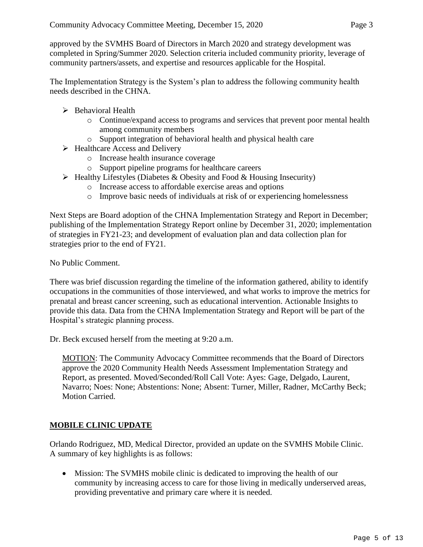approved by the SVMHS Board of Directors in March 2020 and strategy development was completed in Spring/Summer 2020. Selection criteria included community priority, leverage of community partners/assets, and expertise and resources applicable for the Hospital.

The Implementation Strategy is the System's plan to address the following community health needs described in the CHNA.

- $\triangleright$  Behavioral Health
	- o Continue/expand access to programs and services that prevent poor mental health among community members
	- o Support integration of behavioral health and physical health care
- $\triangleright$  Healthcare Access and Delivery
	- o Increase health insurance coverage
	- o Support pipeline programs for healthcare careers
- $\triangleright$  Healthy Lifestyles (Diabetes & Obesity and Food & Housing Insecurity)
	- o Increase access to affordable exercise areas and options
	- o Improve basic needs of individuals at risk of or experiencing homelessness

Next Steps are Board adoption of the CHNA Implementation Strategy and Report in December; publishing of the Implementation Strategy Report online by December 31, 2020; implementation of strategies in FY21-23; and development of evaluation plan and data collection plan for strategies prior to the end of FY21.

No Public Comment.

There was brief discussion regarding the timeline of the information gathered, ability to identify occupations in the communities of those interviewed, and what works to improve the metrics for prenatal and breast cancer screening, such as educational intervention. Actionable Insights to provide this data. Data from the CHNA Implementation Strategy and Report will be part of the Hospital's strategic planning process.

Dr. Beck excused herself from the meeting at 9:20 a.m.

MOTION: The Community Advocacy Committee recommends that the Board of Directors approve the 2020 Community Health Needs Assessment Implementation Strategy and Report, as presented. Moved/Seconded/Roll Call Vote: Ayes: Gage, Delgado, Laurent, Navarro; Noes: None; Abstentions: None; Absent: Turner, Miller, Radner, McCarthy Beck; Motion Carried.

#### **MOBILE CLINIC UPDATE**

Orlando Rodriguez, MD, Medical Director, provided an update on the SVMHS Mobile Clinic. A summary of key highlights is as follows:

 Mission: The SVMHS mobile clinic is dedicated to improving the health of our community by increasing access to care for those living in medically underserved areas, providing preventative and primary care where it is needed.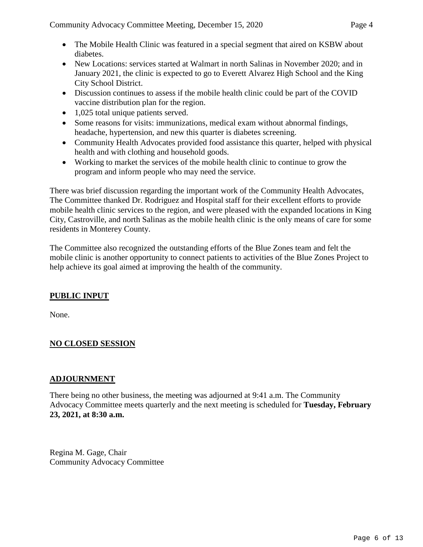- The Mobile Health Clinic was featured in a special segment that aired on KSBW about diabetes.
- New Locations: services started at Walmart in north Salinas in November 2020; and in January 2021, the clinic is expected to go to Everett Alvarez High School and the King City School District.
- Discussion continues to assess if the mobile health clinic could be part of the COVID vaccine distribution plan for the region.
- 1,025 total unique patients served.
- Some reasons for visits: immunizations, medical exam without abnormal findings, headache, hypertension, and new this quarter is diabetes screening.
- Community Health Advocates provided food assistance this quarter, helped with physical health and with clothing and household goods.
- Working to market the services of the mobile health clinic to continue to grow the program and inform people who may need the service.

There was brief discussion regarding the important work of the Community Health Advocates, The Committee thanked Dr. Rodriguez and Hospital staff for their excellent efforts to provide mobile health clinic services to the region, and were pleased with the expanded locations in King City, Castroville, and north Salinas as the mobile health clinic is the only means of care for some residents in Monterey County.

The Committee also recognized the outstanding efforts of the Blue Zones team and felt the mobile clinic is another opportunity to connect patients to activities of the Blue Zones Project to help achieve its goal aimed at improving the health of the community.

## **PUBLIC INPUT**

None.

## **NO CLOSED SESSION**

### **ADJOURNMENT**

There being no other business, the meeting was adjourned at 9:41 a.m. The Community Advocacy Committee meets quarterly and the next meeting is scheduled for **Tuesday, February 23, 2021, at 8:30 a.m.**

Regina M. Gage, Chair Community Advocacy Committee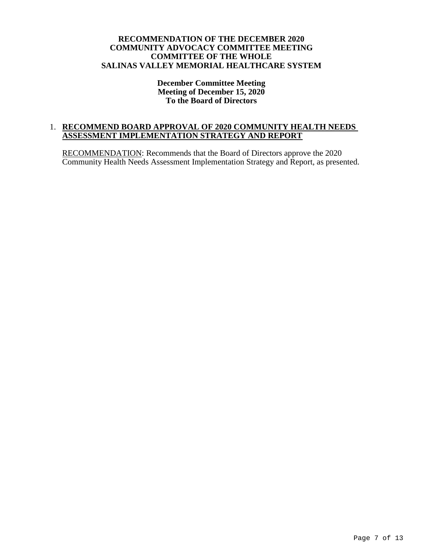#### **RECOMMENDATION OF THE DECEMBER 2020 COMMUNITY ADVOCACY COMMITTEE MEETING COMMITTEE OF THE WHOLE SALINAS VALLEY MEMORIAL HEALTHCARE SYSTEM**

#### **December Committee Meeting Meeting of December 15, 2020 To the Board of Directors**

#### 1. **RECOMMEND BOARD APPROVAL OF 2020 COMMUNITY HEALTH NEEDS ASSESSMENT IMPLEMENTATION STRATEGY AND REPORT**

RECOMMENDATION: Recommends that the Board of Directors approve the 2020 Community Health Needs Assessment Implementation Strategy and Report, as presented.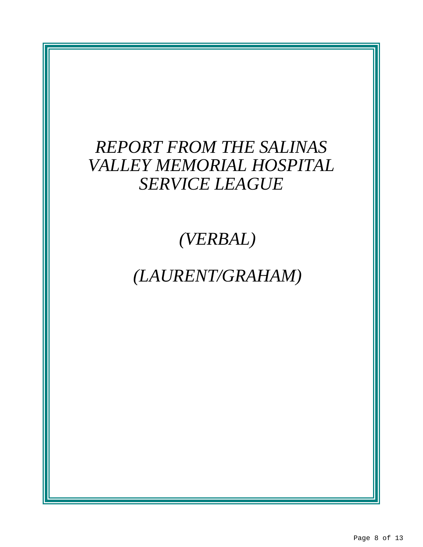## *REPORT FROM THE SALINAS VALLEY MEMORIAL HOSPITAL SERVICE LEAGUE*

*(VERBAL)*

*(LAURENT/GRAHAM)*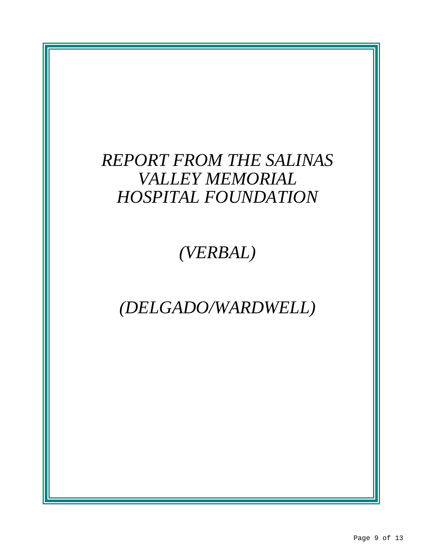# *REPORT FROM THE SALINAS VALLEY MEMORIAL HOSPITAL FOUNDATION*

*(VERBAL)*

# *(DELGADO/WARDWELL)*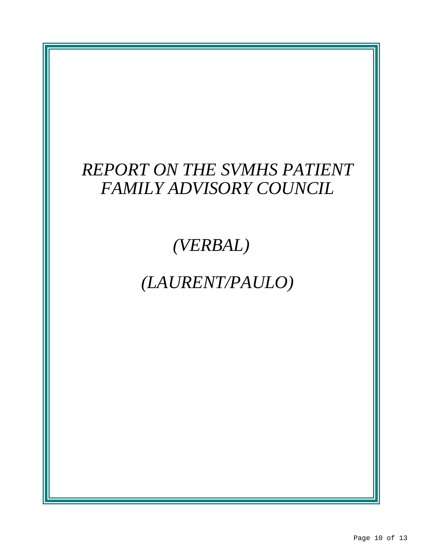# *REPORT ON THE SVMHS PATIENT FAMILY ADVISORY COUNCIL*

# *(VERBAL)*

# *(LAURENT/PAULO)*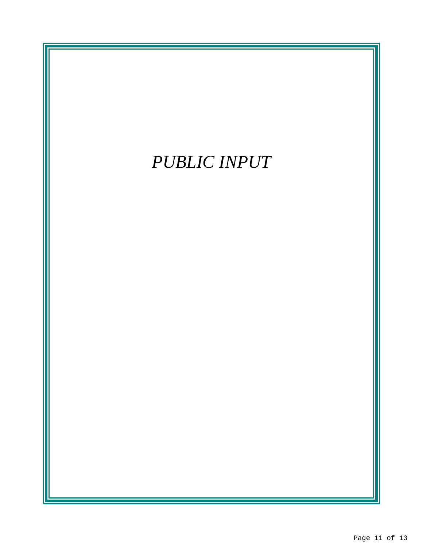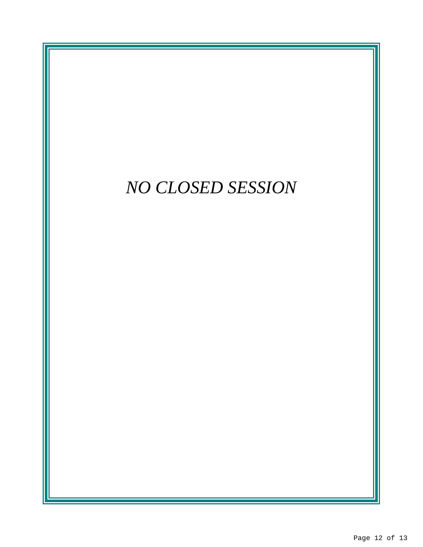